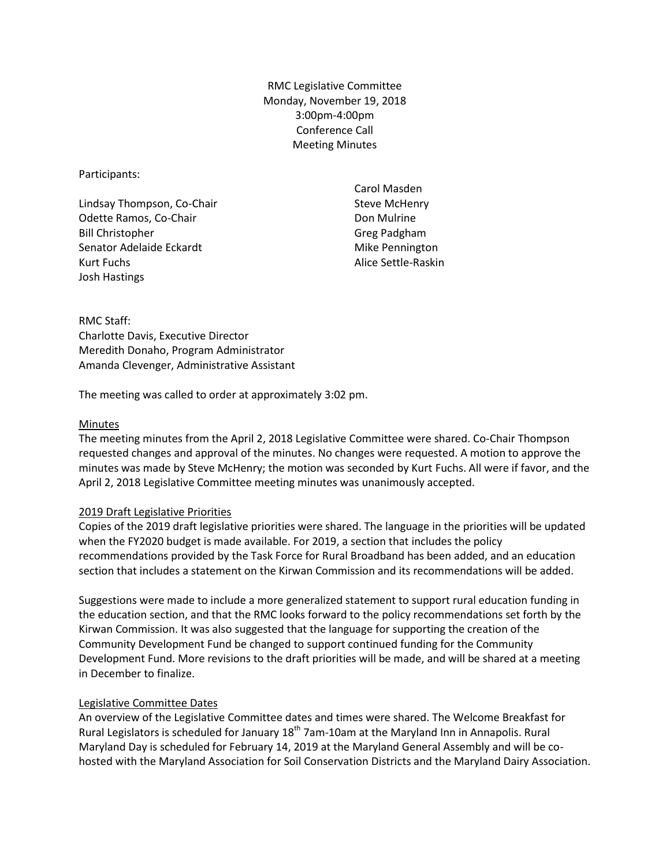RMC Legislative Committee Monday, November 19, 2018 3:00pm-4:00pm Conference Call Meeting Minutes

Participants:

Lindsay Thompson, Co-Chair Odette Ramos, Co-Chair Bill Christopher Senator Adelaide Eckardt Kurt Fuchs Josh Hastings

Carol Masden Steve McHenry Don Mulrine Greg Padgham Mike Pennington Alice Settle-Raskin

RMC Staff: Charlotte Davis, Executive Director Meredith Donaho, Program Administrator Amanda Clevenger, Administrative Assistant

The meeting was called to order at approximately 3:02 pm.

## Minutes

The meeting minutes from the April 2, 2018 Legislative Committee were shared. Co-Chair Thompson requested changes and approval of the minutes. No changes were requested. A motion to approve the minutes was made by Steve McHenry; the motion was seconded by Kurt Fuchs. All were if favor, and the April 2, 2018 Legislative Committee meeting minutes was unanimously accepted.

## 2019 Draft Legislative Priorities

Copies of the 2019 draft legislative priorities were shared. The language in the priorities will be updated when the FY2020 budget is made available. For 2019, a section that includes the policy recommendations provided by the Task Force for Rural Broadband has been added, and an education section that includes a statement on the Kirwan Commission and its recommendations will be added.

Suggestions were made to include a more generalized statement to support rural education funding in the education section, and that the RMC looks forward to the policy recommendations set forth by the Kirwan Commission. It was also suggested that the language for supporting the creation of the Community Development Fund be changed to support continued funding for the Community Development Fund. More revisions to the draft priorities will be made, and will be shared at a meeting in December to finalize.

## Legislative Committee Dates

An overview of the Legislative Committee dates and times were shared. The Welcome Breakfast for Rural Legislators is scheduled for January 18<sup>th</sup> 7am-10am at the Maryland Inn in Annapolis. Rural Maryland Day is scheduled for February 14, 2019 at the Maryland General Assembly and will be cohosted with the Maryland Association for Soil Conservation Districts and the Maryland Dairy Association.